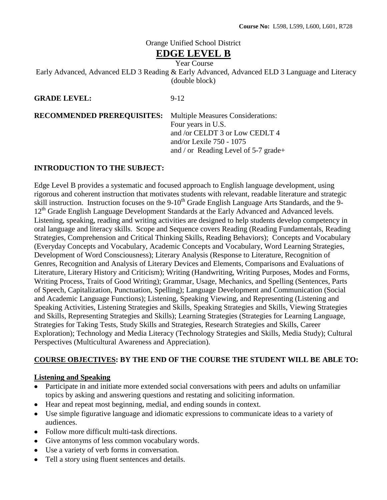# Orange Unified School District

# **EDGE LEVEL B**

Year Course

Early Advanced, Advanced ELD 3 Reading & Early Advanced, Advanced ELD 3 Language and Literacy (double block)

**GRADE LEVEL:** 9-12

**RECOMMENDED PREREQUISITES:** Multiple Measures Considerations: Four years in U.S. and /or CELDT 3 or Low CEDLT 4 and/or Lexile 750 - 1075 and / or Reading Level of 5-7 grade+

## **INTRODUCTION TO THE SUBJECT:**

Edge Level B provides a systematic and focused approach to English language development, using rigorous and coherent instruction that motivates students with relevant, readable literature and strategic skill instruction. Instruction focuses on the 9-10<sup>th</sup> Grade English Language Arts Standards, and the 9-12<sup>th</sup> Grade English Language Development Standards at the Early Advanced and Advanced levels. Listening, speaking, reading and writing activities are designed to help students develop competency in oral language and literacy skills. Scope and Sequence covers Reading (Reading Fundamentals, Reading Strategies, Comprehension and Critical Thinking Skills, Reading Behaviors); Concepts and Vocabulary (Everyday Concepts and Vocabulary, Academic Concepts and Vocabulary, Word Learning Strategies, Development of Word Consciousness); Literary Analysis (Response to Literature, Recognition of Genres, Recognition and Analysis of Literary Devices and Elements, Comparisons and Evaluations of Literature, Literary History and Criticism); Writing (Handwriting, Writing Purposes, Modes and Forms, Writing Process, Traits of Good Writing); Grammar, Usage, Mechanics, and Spelling (Sentences, Parts of Speech, Capitalization, Punctuation, Spelling); Language Development and Communication (Social and Academic Language Functions); Listening, Speaking Viewing, and Representing (Listening and Speaking Activities, Listening Strategies and Skills, Speaking Strategies and Skills, Viewing Strategies and Skills, Representing Strategies and Skills); Learning Strategies (Strategies for Learning Language, Strategies for Taking Tests, Study Skills and Strategies, Research Strategies and Skills, Career Exploration); Technology and Media Literacy (Technology Strategies and Skills, Media Study); Cultural Perspectives (Multicultural Awareness and Appreciation).

# **COURSE OBJECTIVES: BY THE END OF THE COURSE THE STUDENT WILL BE ABLE TO:**

## **Listening and Speaking**

- Participate in and initiate more extended social conversations with peers and adults on unfamiliar topics by asking and answering questions and restating and soliciting information.
- Hear and repeat most beginning, medial, and ending sounds in context.
- Use simple figurative language and idiomatic expressions to communicate ideas to a variety of  $\bullet$ audiences.
- Follow more difficult multi-task directions.
- Give antonyms of less common vocabulary words.
- Use a variety of verb forms in conversation.
- Tell a story using fluent sentences and details.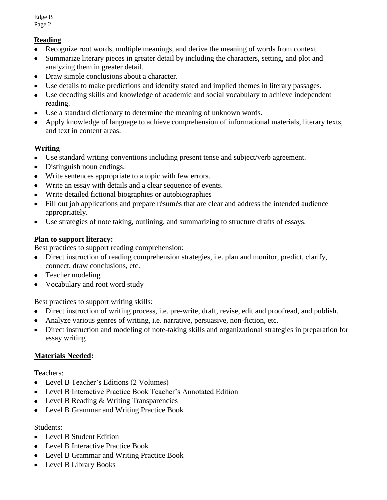# **Reading**

- Recognize root words, multiple meanings, and derive the meaning of words from context.  $\bullet$
- Summarize literary pieces in greater detail by including the characters, setting, and plot and  $\bullet$ analyzing them in greater detail.
- Draw simple conclusions about a character.
- Use details to make predictions and identify stated and implied themes in literary passages.  $\bullet$
- Use decoding skills and knowledge of academic and social vocabulary to achieve independent reading.
- Use a standard dictionary to determine the meaning of unknown words.
- Apply knowledge of language to achieve comprehension of informational materials, literary texts,  $\bullet$ and text in content areas.

# **Writing**

- Use standard writing conventions including present tense and subject/verb agreement.
- Distinguish noun endings.
- Write sentences appropriate to a topic with few errors.
- Write an essay with details and a clear sequence of events.  $\bullet$
- Write detailed fictional biographies or autobiographies
- Fill out job applications and prepare résumés that are clear and address the intended audience  $\bullet$ appropriately.
- Use strategies of note taking, outlining, and summarizing to structure drafts of essays.  $\bullet$

## **Plan to support literacy:**

Best practices to support reading comprehension:

- Direct instruction of reading comprehension strategies, i.e. plan and monitor, predict, clarify, connect, draw conclusions, etc.
- Teacher modeling  $\bullet$
- Vocabulary and root word study

Best practices to support writing skills:

- Direct instruction of writing process, i.e. pre-write, draft, revise, edit and proofread, and publish.
- Analyze various genres of writing, i.e. narrative, persuasive, non-fiction, etc.
- Direct instruction and modeling of note-taking skills and organizational strategies in preparation for essay writing

# **Materials Needed:**

Teachers:

- Level B Teacher's Editions (2 Volumes)
- Level B Interactive Practice Book Teacher's Annotated Edition
- Level B Reading & Writing Transparencies
- Level B Grammar and Writing Practice Book  $\bullet$

## Students:

- Level B Student Edition
- Level B Interactive Practice Book
- Level B Grammar and Writing Practice Book
- Level B Library Books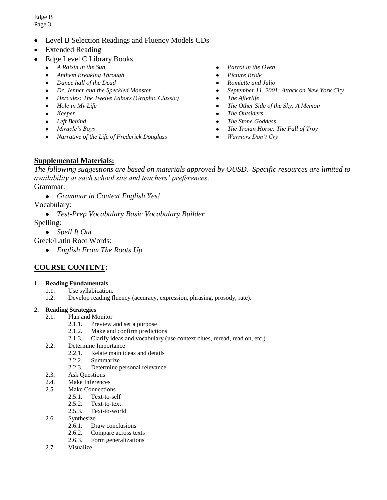- Level B Selection Readings and Fluency Models CDs
- Extended Reading
- Edge Level C Library Books
	- *A Raisin in the Sun*  $\bullet$
	- *Anthem Breaking Through*  $\bullet$
	- $\bullet$ *Dance hall of the Dead*
	- *Dr. Jenner and the Speckled Monster*  $\bullet$
	- *Hercules: The Twelve Labors (Graphic Classic)*
	- $\bullet$ *Hole in My Life*
	- $\bullet$ *Keeper*
	- *Left Behind*
	- $\bullet$ *Miracle's Boys*
	- *Narrative of the Life of Frederick Douglass*  $\bullet$
- *Parrot in the Oven*  $\bullet$
- *Picture Bride*
- *Romiette and Julio*  $\bullet$
- *September 11, 2001: Attack on New York City*  $\bullet$
- $\bullet$ *The Afterlife*
- *The Other Side of the Sky: A Memoir*  $\bullet$
- $\bullet$ *The Outsiders*
- *The Stone Goddess*
- *The Trojan Horse: The Fall of Troy*  $\bullet$
- *Warriors Don't Cry*  $\bullet$

## **Supplemental Materials:**

*The following suggestions are based on materials approved by OUSD. Specific resources are limited to availability at each school site and teachers' preferences*. Grammar:

*Grammar in Context English Yes!*

Vocabulary:

*Test-Prep Vocabulary Basic Vocabulary Builder*

Spelling:

*Spell It Out*

Greek/Latin Root Words:

*English From The Roots Up*

# **COURSE CONTENT:**

### **1. Reading Fundamentals**

- 1.1. Use syllabication.
- 1.2. Develop reading fluency (accuracy, expression, phrasing, prosody, rate).

### **2. Reading Strategies**

- 2.1. Plan and Monitor
	- 2.1.1. Preview and set a purpose
	- 2.1.2. Make and confirm predictions
	- 2.1.3. Clarify ideas and vocabulary (use context clues, reread, read on, etc.)
- 2.2. Determine Importance
	- 2.2.1. Relate main ideas and details
	- 2.2.2. Summarize
	- 2.2.3. Determine personal relevance
- 2.3. Ask Questions
- 2.4. Make Inferences
- 2.5. Make Connections
	- 2.5.1. Text-to-self
	- 2.5.2. Text-to-text
	- 2.5.3. Text-to-world
- 2.6. Synthesize
	- 2.6.1. Draw conclusions
	- 2.6.2. Compare across texts
	- 2.6.3. Form generalizations
- 2.7. Visualize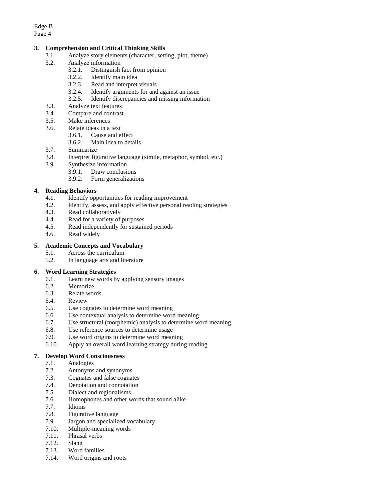### **3. Comprehension and Critical Thinking Skills**

- 3.1. Analyze story elements (character, setting, plot, theme)
- 3.2. Analyze information
	- 3.2.1. Distinguish fact from opinion
	- 3.2.2. Identify main idea
	- 3.2.3. Read and interpret visuals
	- 3.2.4. Identify arguments for and against an issue
	- 3.2.5. Identify discrepancies and missing information
- 3.3. Analyze text features
- 3.4. Compare and contrast
- 3.5. Make inferences
- 3.6. Relate ideas in a text
	- 3.6.1. Cause and effect
	- 3.6.2. Main idea to details
- 3.7. Summarize
- 3.8. Interpret figurative language (simile, metaphor, symbol, etc.)
- 3.9. Synthesize information
	- 3.9.1. Draw conclusions
	- 3.9.2. Form generalizations

### **4. Reading Behaviors**

- 4.1. Identify opportunities for reading improvement
- 4.2. Identify, assess, and apply effective personal reading strategies
- 4.3. Read collaboratively
- 4.4. Read for a variety of purposes
- 4.5. Read independently for sustained periods
- 4.6. Read widely

### **5. Academic Concepts and Vocabulary**

- 5.1. Across the curriculum
- 5.2. In language arts and literature

### **6. Word Learning Strategies**

- 6.1. Learn new words by applying sensory images
- 6.2. Memorize
- 6.3. Relate words
- 6.4. Review
- 6.5. Use cognates to determine word meaning
- 6.6. Use contextual analysis to determine word meaning
- 6.7. Use structural (morphemic) analysis to determine word meaning
- 6.8. Use reference sources to determine usage
- 6.9. Use word origins to determine word meaning
- 6.10. Apply an overall word learning strategy during reading

#### **7. Develop Word Consciousness**

- 7.1. Analogies
- 7.2. Antonyms and synonyms
- 7.3. Cognates and false cognates
- 7.4. Denotation and connotation
- 7.5. Dialect and regionalisms
- 7.6. Homophones and other words that sound alike
- 7.7. Idioms<br>7.8. Figurat
- Figurative language
- 7.9. Jargon and specialized vocabulary
- 7.10. Multiple-meaning words
- 7.11. Phrasal verbs
- 7.12. Slang
- 7.13. Word families
- 7.14. Word origins and roots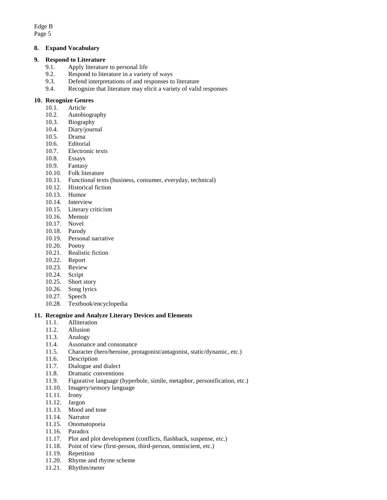### **8. Expand Vocabulary**

#### **9. Respond to Literature**

- 9.1. Apply literature to personal life
- 9.2. Respond to literature in a variety of ways
- 9.3. Defend interpretations of and responses to literature
- 9.4. Recognize that literature may elicit a variety of valid responses

### **10. Recognize Genres**

- 10.1. Article
- 10.2. Autobiography
- 10.3. Biography
- 10.4. Diary/journal
- 10.5. Drama
- 10.6. Editorial
- 10.7. Electronic texts
- 10.8. Essays
- 10.9. Fantasy
- 10.10. Folk literature
- 10.11. Functional texts (business, consumer, everyday, technical)
- 10.12. Historical fiction
- 10.13. Humor
- 10.14. Interview
- 10.15. Literary criticism
- 10.16. Memoir
- 10.17. Novel
- 10.18. Parody
- 10.19. Personal narrative
- 10.20. Poetry
- 10.21. Realistic fiction
- 10.22. Report
- 10.23. Review
- 10.24. Script
- 10.25. Short story
- 10.26. Song lyrics
- 10.27. Speech
- 10.28. Textbook/encyclopedia

### **11. Recognize and Analyze Literary Devices and Elements**

- 11.1. Alliteration
- 11.2. Allusion
- 11.3. Analogy
- 11.4. Assonance and consonance
- 11.5. Character (hero/heroine, protagonist/antagonist, static/dynamic, etc.)
- 11.6. Description
- 11.7. Dialogue and dialect
- 11.8. Dramatic conventions
- 11.9. Figurative language (hyperbole, simile, metaphor, personification, etc.)
- 11.10. Imagery/sensory language
- 11.11. Irony
- 11.12. Jargon
- 11.13. Mood and tone
- 11.14. Narrator
- 11.15. Onomatopoeia
- 11.16. Paradox
- 11.17. Plot and plot development (conflicts, flashback, suspense, etc.)
- 11.18. Point of view (first-person, third-person, omniscient, etc.)
- 11.19. Repetition
- 11.20. Rhyme and rhyme scheme
- 11.21. Rhythm/meter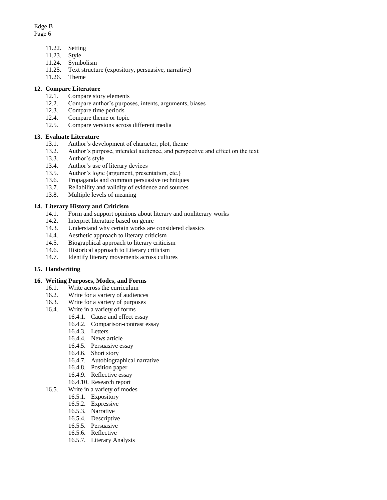# Edge B

Page 6

- 11.22. Setting
- 11.23. Style
- 11.24. Symbolism
- 11.25. Text structure (expository, persuasive, narrative)
- 11.26. Theme

## **12. Compare Literature**

- 12.1. Compare story elements
- 12.2. Compare author's purposes, intents, arguments, biases
- 12.3. Compare time periods
- 12.4. Compare theme or topic
- 12.5. Compare versions across different media

## **13. Evaluate Literature**

- 13.1. Author's development of character, plot, theme
- 13.2. Author's purpose, intended audience, and perspective and effect on the text
- 13.3. Author's style
- 13.4. Author's use of literary devices
- 13.5. Author's logic (argument, presentation, etc.)
- 13.6. Propaganda and common persuasive techniques
- 13.7. Reliability and validity of evidence and sources
- 13.8. Multiple levels of meaning

## **14. Literary History and Criticism**

- 14.1. Form and support opinions about literary and nonliterary works
- 14.2. Interpret literature based on genre
- 14.3. Understand why certain works are considered classics
- 14.4. Aesthetic approach to literary criticism
- 14.5. Biographical approach to literary criticism
- 14.6. Historical approach to Literary criticism
- 14.7. Identify literary movements across cultures

## **15. Handwriting**

### **16. Writing Purposes, Modes, and Forms**

- 16.1. Write across the curriculum
- 16.2. Write for a variety of audiences
- 16.3. Write for a variety of purposes
- 16.4. Write in a variety of forms
	- 16.4.1. Cause and effect essay
	- 16.4.2. Comparison-contrast essay
	- 16.4.3. Letters
	- 16.4.4. News article
	- 16.4.5. Persuasive essay
	- 16.4.6. Short story
	- 16.4.7. Autobiographical narrative
	- 16.4.8. Position paper
	- 16.4.9. Reflective essay
	- 16.4.10. Research report
- 16.5. Write in a variety of modes
	- 16.5.1. Expository
	- 16.5.2. Expressive
	- 16.5.3. Narrative
	- 16.5.4. Descriptive
	- 16.5.5. Persuasive
	- 16.5.6. Reflective
	- 16.5.7. Literary Analysis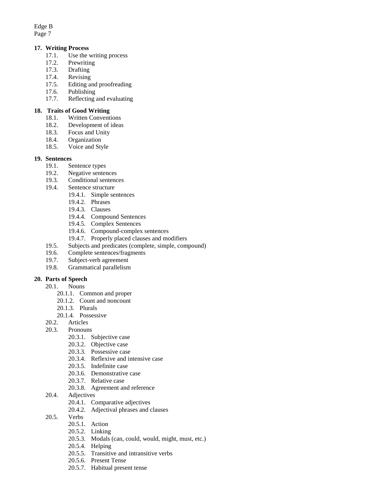Edge B

Page 7

### **17. Writing Process**

- 17.1. Use the writing process
- 17.2. Prewriting
- 17.3. Drafting
- 17.4. Revising
- 17.5. Editing and proofreading
- 17.6. Publishing
- 17.7. Reflecting and evaluating

### **18. Traits of Good Writing**

- 18.1. Written Conventions
- 18.2. Development of ideas
- 18.3. Focus and Unity
- 18.4. Organization
- 18.5. Voice and Style

### **19. Sentences**

- 19.1. Sentence types
- 19.2. Negative sentences
- 19.3. Conditional sentences
- 19.4. Sentence structure
	- 19.4.1. Simple sentences
		- 19.4.2. Phrases
		- 19.4.3. Clauses
		- 19.4.4. Compound Sentences
		- 19.4.5. Complex Sentences
		- 19.4.6. Compound-complex sentences
		- 19.4.7. Properly placed clauses and modifiers
- 19.5. Subjects and predicates (complete, simple, compound)
- 19.6. Complete sentences/fragments
- 19.7. Subject-verb agreement
- 19.8. Grammatical parallelism

### **20. Parts of Speech**

- 20.1. Nouns
	- 20.1.1. Common and proper
	- 20.1.2. Count and noncount
	- 20.1.3. Plurals
	- 20.1.4. Possessive
- 20.2. Articles
- 20.3. Pronouns
	- 20.3.1. Subjective case
	- 20.3.2. Objective case
	- 20.3.3. Possessive case
	- 20.3.4. Reflexive and intensive case
	- 20.3.5. Indefinite case
	- 20.3.6. Demonstrative case
	- 20.3.7. Relative case
	- 20.3.8. Agreement and reference
- 20.4. Adjectives
	- 20.4.1. Comparative adjectives
	- 20.4.2. Adjectival phrases and clauses
- 20.5. Verbs
	- 20.5.1. Action
	- 20.5.2. Linking
	- 20.5.3. Modals (can, could, would, might, must, etc.)
	- 20.5.4. Helping
	- 20.5.5. Transitive and intransitive verbs
	- 20.5.6. Present Tense
	- 20.5.7. Habitual present tense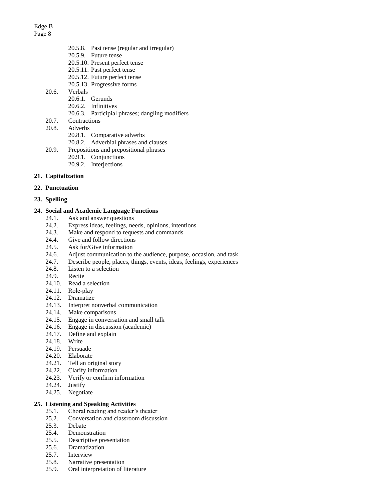- 20.5.8. Past tense (regular and irregular) 20.5.9. Future tense 20.5.10. Present perfect tense
- 20.5.11. Past perfect tense
- 20.5.12. Future perfect tense
- 20.5.13. Progressive forms
- 20.6. Verbals
	- 20.6.1. Gerunds
	- 20.6.2. Infinitives
	- 20.6.3. Participial phrases; dangling modifiers
- 20.7. Contractions
- 20.8. Adverbs
	- 20.8.1. Comparative adverbs
	- 20.8.2. Adverbial phrases and clauses
- 20.9. Prepositions and prepositional phrases
	- 20.9.1. Conjunctions
	- 20.9.2. Interjections

### **21. Capitalization**

- **22. Punctuation**
- **23. Spelling**

### **24. Social and Academic Language Functions**

- 24.1. Ask and answer questions
- 24.2. Express ideas, feelings, needs, opinions, intentions
- 24.3. Make and respond to requests and commands
- 24.4. Give and follow directions
- 24.5. Ask for/Give information
- 24.6. Adjust communication to the audience, purpose, occasion, and task
- 24.7. Describe people, places, things, events, ideas, feelings, experiences
- 24.8. Listen to a selection
- 24.9. Recite
- 24.10. Read a selection
- 24.11. Role-play
- 24.12. Dramatize
- 24.13. Interpret nonverbal communication
- 24.14. Make comparisons
- 24.15. Engage in conversation and small talk
- 24.16. Engage in discussion (academic)
- 24.17. Define and explain
- 24.18. Write
- 24.19. Persuade
- 24.20. Elaborate
- 24.21. Tell an original story
- 24.22. Clarify information
- 24.23. Verify or confirm information
- 24.24. Justify
- 24.25. Negotiate

### **25. Listening and Speaking Activities**

- 25.1. Choral reading and reader's theater
- 25.2. Conversation and classroom discussion
- 25.3. Debate
- 25.4. Demonstration
- 25.5. Descriptive presentation
- 25.6. Dramatization
- 25.7. Interview
- 25.8. Narrative presentation
- 25.9. Oral interpretation of literature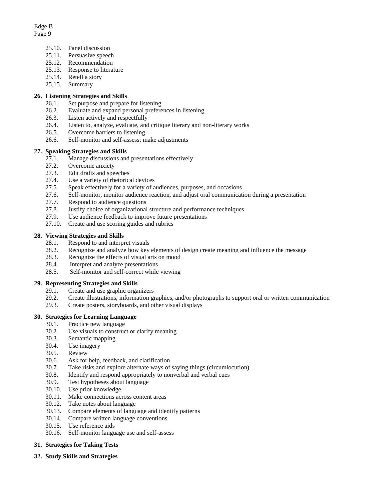- 25.10. Panel discussion
- 25.11. Persuasive speech
- 25.12. Recommendation
- 25.13. Response to literature
- 25.14. Retell a story
- 25.15. Summary

### **26. Listening Strategies and Skills**

- 26.1. Set purpose and prepare for listening
- 26.2. Evaluate and expand personal preferences in listening
- 26.3. Listen actively and respectfully
- 26.4. Listen to, analyze, evaluate, and critique literary and non-literary works
- 26.5. Overcome barriers to listening
- 26.6. Self-monitor and self-assess; make adjustments

### **27. Speaking Strategies and Skills**

- 27.1. Manage discussions and presentations effectively
- 27.2. Overcome anxiety
- 27.3. Edit drafts and speeches
- 27.4. Use a variety of rhetorical devices
- 27.5. Speak effectively for a variety of audiences, purposes, and occasions
- 27.6. Self-monitor, monitor audience reaction, and adjust oral communication during a presentation
- 27.7. Respond to audience questions
- 27.8. Justify choice of organizational structure and performance techniques
- 27.9. Use audience feedback to improve future presentations
- 27.10. Create and use scoring guides and rubrics

### **28. Viewing Strategies and Skills**

- 28.1. Respond to and interpret visuals
- 28.2. Recognize and analyze how key elements of design create meaning and influence the message
- 28.3. Recognize the effects of visual arts on mood
- 28.4. Interpret and analyze presentations
- 28.5. Self-monitor and self-correct while viewing

#### **29. Representing Strategies and Skills**

- 29.1. Create and use graphic organizers
- 29.2. Create illustrations, information graphics, and/or photographs to support oral or written communication
- 29.3. Create posters, storyboards, and other visual displays

#### **30. Strategies for Learning Language**

- 30.1. Practice new language
- 30.2. Use visuals to construct or clarify meaning
- 30.3. Semantic mapping
- 30.4. Use imagery
- 30.5. Review
- 30.6. Ask for help, feedback, and clarification
- 30.7. Take risks and explore alternate ways of saying things (circumlocution)
- 30.8. Identify and respond appropriately to nonverbal and verbal cues
- 30.9. Test hypotheses about language
- 30.10. Use prior knowledge
- 30.11. Make connections across content areas
- 30.12. Take notes about language
- 30.13. Compare elements of language and identify patterns
- 30.14. Compare written language conventions
- 30.15. Use reference aids
- 30.16. Self-monitor language use and self-assess

### **31. Strategies for Taking Tests**

**32. Study Skills and Strategies**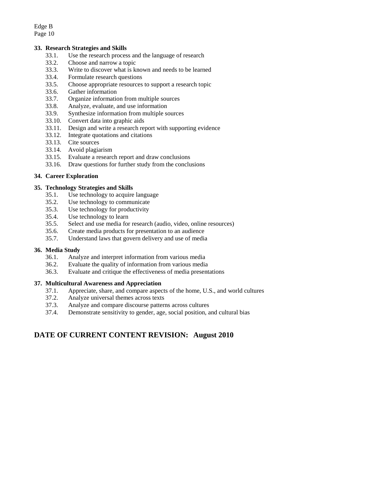### **33. Research Strategies and Skills**

- 33.1. Use the research process and the language of research
- 33.2. Choose and narrow a topic
- 33.3. Write to discover what is known and needs to be learned
- 33.4. Formulate research questions
- 33.5. Choose appropriate resources to support a research topic
- 33.6. Gather information
- 33.7. Organize information from multiple sources
- 33.8. Analyze, evaluate, and use information
- 33.9. Synthesize information from multiple sources
- 33.10. Convert data into graphic aids
- 33.11. Design and write a research report with supporting evidence
- 33.12. Integrate quotations and citations
- 33.13. Cite sources
- 33.14. Avoid plagiarism
- 33.15. Evaluate a research report and draw conclusions
- 33.16. Draw questions for further study from the conclusions

### **34. Career Exploration**

### **35. Technology Strategies and Skills**

- 35.1. Use technology to acquire language
- 35.2. Use technology to communicate
- 35.3. Use technology for productivity
- 35.4. Use technology to learn
- 35.5. Select and use media for research (audio, video, online resources)
- 35.6. Create media products for presentation to an audience
- 35.7. Understand laws that govern delivery and use of media

#### **36. Media Study**

- 36.1. Analyze and interpret information from various media
- 36.2. Evaluate the quality of information from various media
- 36.3. Evaluate and critique the effectiveness of media presentations

#### **37. Multicultural Awareness and Appreciation**

- 37.1. Appreciate, share, and compare aspects of the home, U.S., and world cultures
- 37.2. Analyze universal themes across texts
- 37.3. Analyze and compare discourse patterns across cultures
- 37.4. Demonstrate sensitivity to gender, age, social position, and cultural bias

## **DATE OF CURRENT CONTENT REVISION: August 2010**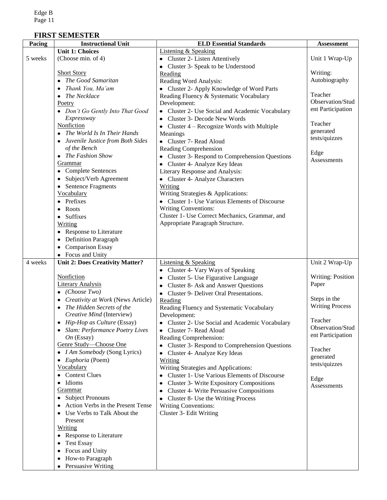# **FIRST SEMESTER**

| Pacing  | <b>Instructional Unit</b>                                      | <b>ELD Essential Standards</b>                            | <b>Assessment</b>        |
|---------|----------------------------------------------------------------|-----------------------------------------------------------|--------------------------|
|         | <b>Unit 1: Choices</b>                                         | <b>Listening &amp; Speaking</b>                           |                          |
| 5 weeks | (Choose min. of 4)                                             | • Cluster 2- Listen Attentively                           | Unit 1 Wrap-Up           |
|         |                                                                | • Cluster 3- Speak to be Understood                       |                          |
|         | <b>Short Story</b>                                             | Reading                                                   | Writing:                 |
|         | The Good Samaritan                                             | Reading Word Analysis:                                    | Autobiography            |
|         | Thank You, Ma'am                                               | • Cluster 2- Apply Knowledge of Word Parts                |                          |
|         | • The Necklace                                                 | Reading Fluency & Systematic Vocabulary                   | Teacher                  |
|         | Poetry                                                         | Development:                                              | Observation/Stud         |
|         | • Don't Go Gently Into That Good                               | • Cluster 2- Use Social and Academic Vocabulary           | ent Participation        |
|         | Expressway                                                     | Cluster 3- Decode New Words                               |                          |
|         | Nonfiction                                                     | • Cluster $4 -$ Recognize Words with Multiple             | Teacher                  |
|         | The World Is In Their Hands                                    | Meanings                                                  | generated                |
|         | Juvenile Justice from Both Sides                               | • Cluster 7- Read Aloud                                   | tests/quizzes            |
|         | of the Bench                                                   | Reading Comprehension                                     |                          |
|         | • The Fashion Show                                             | • Cluster 3- Respond to Comprehension Questions           | Edge<br>Assessments      |
|         | Grammar                                                        | • Cluster 4- Analyze Key Ideas                            |                          |
|         | • Complete Sentences                                           | Literary Response and Analysis:                           |                          |
|         | • Subject/Verb Agreement                                       | • Cluster 4- Analyze Characters                           |                          |
|         | • Sentence Fragments                                           | Writing                                                   |                          |
|         | Vocabulary                                                     | Writing Strategies & Applications:                        |                          |
|         | Prefixes                                                       | • Cluster 1- Use Various Elements of Discourse            |                          |
|         | Roots                                                          | <b>Writing Conventions:</b>                               |                          |
|         | • Suffixes                                                     | Cluster 1- Use Correct Mechanics, Grammar, and            |                          |
|         | <b>Writing</b>                                                 | Appropriate Paragraph Structure.                          |                          |
|         | • Response to Literature                                       |                                                           |                          |
|         | <b>Definition Paragraph</b>                                    |                                                           |                          |
|         | <b>Comparison Essay</b>                                        |                                                           |                          |
|         | • Focus and Unity                                              |                                                           |                          |
| 4 weeks | <b>Unit 2: Does Creativity Matter?</b>                         | <b>Listening &amp; Speaking</b>                           | Unit 2 Wrap-Up           |
|         |                                                                | • Cluster 4- Vary Ways of Speaking                        |                          |
|         | <b>Nonfiction</b>                                              | Cluster 5- Use Figurative Language                        | <b>Writing: Position</b> |
|         | <b>Literary Analysis</b>                                       | Cluster 8- Ask and Answer Questions                       | Paper                    |
|         | $\bullet$ (Choose Two)                                         | • Cluster 9- Deliver Oral Presentations.                  | Steps in the             |
|         | Creativity at Work (News Article)<br>The Hidden Secrets of the | Reading                                                   | <b>Writing Process</b>   |
|         | Creative Mind (Interview)                                      | Reading Fluency and Systematic Vocabulary<br>Development: |                          |
|         | Hip-Hop as Culture (Essay)                                     | Cluster 2- Use Social and Academic Vocabulary             | Teacher                  |
|         | Slam: Performance Poetry Lives                                 | • Cluster 7- Read Aloud                                   | Observation/Stud         |
|         | $On$ (Essay)                                                   | Reading Comprehension:                                    | ent Participation        |
|         | Genre Study-Choose One                                         | Cluster 3- Respond to Comprehension Questions             |                          |
|         | • <i>I Am Somebody</i> (Song Lyrics)                           | • Cluster 4- Analyze Key Ideas                            | Teacher                  |
|         | • Euphoria (Poem)                                              | Writing                                                   | generated                |
|         | Vocabulary                                                     | Writing Strategies and Applications:                      | tests/quizzes            |
|         | • Context Clues                                                | • Cluster 1- Use Various Elements of Discourse            |                          |
|         | · Idioms                                                       | <b>Cluster 3- Write Expository Compositions</b>           | Edge                     |
|         | Grammar                                                        | <b>Cluster 4- Write Persuasive Compositions</b>           | Assessments              |
|         | • Subject Pronouns                                             | Cluster 8- Use the Writing Process                        |                          |
|         | • Action Verbs in the Present Tense                            | <b>Writing Conventions:</b>                               |                          |
|         | • Use Verbs to Talk About the                                  | Cluster 3- Edit Writing                                   |                          |
|         | Present                                                        |                                                           |                          |
|         | Writing                                                        |                                                           |                          |
|         | • Response to Literature                                       |                                                           |                          |
|         | <b>Test Essay</b><br>٠                                         |                                                           |                          |
|         | Focus and Unity<br>٠                                           |                                                           |                          |
|         | How-to Paragraph                                               |                                                           |                          |
|         | Persuasive Writing                                             |                                                           |                          |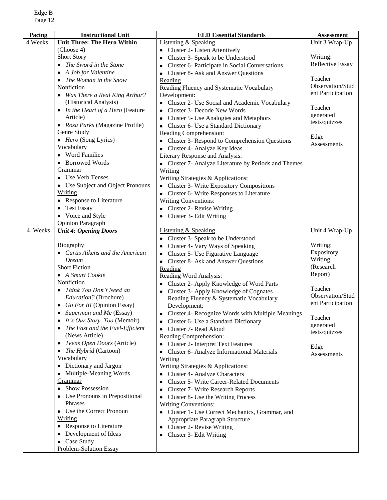| Pacing  | <b>Instructional Unit</b>          | <b>ELD Essential Standards</b>                        | <b>Assessment</b>   |
|---------|------------------------------------|-------------------------------------------------------|---------------------|
| 4 Weeks | <b>Unit Three: The Hero Within</b> | <b>Listening &amp; Speaking</b>                       | Unit 3 Wrap-Up      |
|         | (Choose 4)                         | • Cluster 2- Listen Attentively                       |                     |
|         | <b>Short Story</b>                 | Cluster 3- Speak to be Understood<br>٠                | Writing:            |
|         | • The Sword in the Stone           | Cluster 6- Participate in Social Conversations<br>٠   | Reflective Essay    |
|         | • A Job for Valentine              | <b>Cluster 8- Ask and Answer Questions</b><br>٠       |                     |
|         | The Woman in the Snow              | Reading                                               | Teacher             |
|         | Nonfiction                         | Reading Fluency and Systematic Vocabulary             | Observation/Stud    |
|         | • Was There a Real King Arthur?    | Development:                                          | ent Participation   |
|         | (Historical Analysis)              | • Cluster 2- Use Social and Academic Vocabulary       |                     |
|         | • In the Heart of a Hero (Feature  | Cluster 3- Decode New Words                           | Teacher             |
|         | Article)                           | <b>Cluster 5- Use Analogies and Metaphors</b>         | generated           |
|         | • Rosa Parks (Magazine Profile)    | Cluster 6- Use a Standard Dictionary<br>$\bullet$     | tests/quizzes       |
|         | Genre Study                        | Reading Comprehension:                                |                     |
|         | • Hero (Song Lyrics)               | • Cluster 3- Respond to Comprehension Questions       | Edge<br>Assessments |
|         | Vocabulary                         | • Cluster 4- Analyze Key Ideas                        |                     |
|         | • Word Families                    | Literary Response and Analysis:                       |                     |
|         | • Borrowed Words                   | • Cluster 7- Analyze Literature by Periods and Themes |                     |
|         | Grammar                            | Writing                                               |                     |
|         | • Use Verb Tenses                  | Writing Strategies & Applications:                    |                     |
|         | • Use Subject and Object Pronouns  | • Cluster 3- Write Expository Compositions            |                     |
|         | <u>Writing</u>                     | • Cluster 6- Write Responses to Literature            |                     |
|         | <b>Response to Literature</b>      | <b>Writing Conventions:</b>                           |                     |
|         | <b>Test Essay</b>                  | • Cluster 2- Revise Writing                           |                     |
|         | • Voice and Style                  | Cluster 3- Edit Writing                               |                     |
|         | <b>Opinion Paragraph</b>           |                                                       |                     |
| 4 Weeks | <b>Unit 4: Opening Doors</b>       | <b>Listening &amp; Speaking</b>                       | Unit 4 Wrap-Up      |
|         |                                    | Cluster 3- Speak to be Understood                     |                     |
|         | <b>Biography</b>                   | Cluster 4- Vary Ways of Speaking                      | Writing:            |
|         | • Curtis Aikens and the American   | Cluster 5- Use Figurative Language                    | Expository          |
|         | <b>Dream</b>                       | • Cluster 8- Ask and Answer Questions                 | Writing             |
|         | <b>Short Fiction</b>               | Reading                                               | (Research           |
|         | • A Smart Cookie                   | Reading Word Analysis:                                | Report)             |
|         | Nonfiction                         | Cluster 2- Apply Knowledge of Word Parts              | Teacher             |
|         | Think You Don't Need an            | Cluster 3- Apply Knowledge of Cognates                | Observation/Stud    |
|         | Education? (Brochure)              | Reading Fluency & Systematic Vocabulary               | ent Participation   |
|         | • Go For It! (Opinion Essay)       | Development:                                          |                     |
|         | Superman and Me (Essay)            | Cluster 4- Recognize Words with Multiple Meanings     | Teacher             |
|         | It's Our Story, Too (Memoir)       | Cluster 6- Use a Standard Dictionary                  | generated           |
|         | The Fast and the Fuel-Efficient    | Cluster 7- Read Aloud                                 | tests/quizzes       |
|         | (News Article)                     | Reading Comprehension:                                |                     |
|         | Teens Open Doors (Article)<br>٠    | <b>Cluster 2- Interpret Text Features</b>             | Edge                |
|         | <i>The Hybrid</i> (Cartoon)        | Cluster 6- Analyze Informational Materials            | Assessments         |
|         | Vocabulary                         | <b>Writing</b>                                        |                     |
|         | • Dictionary and Jargon            | Writing Strategies & Applications:                    |                     |
|         | Multiple-Meaning Words             | <b>Cluster 4- Analyze Characters</b>                  |                     |
|         | Grammar                            | <b>Cluster 5- Write Career-Related Documents</b>      |                     |
|         | Show Possession<br>$\bullet$       | <b>Cluster 7- Write Research Reports</b>              |                     |
|         | Use Pronouns in Prepositional      | Cluster 8- Use the Writing Process                    |                     |
|         | Phrases                            | <b>Writing Conventions:</b>                           |                     |
|         | • Use the Correct Pronoun          | Cluster 1- Use Correct Mechanics, Grammar, and        |                     |
|         | <u>Writing</u>                     | Appropriate Paragraph Structure                       |                     |
|         | • Response to Literature           | Cluster 2- Revise Writing<br>٠                        |                     |
|         | Development of Ideas               | Cluster 3- Edit Writing                               |                     |
|         | • Case Study                       |                                                       |                     |
|         | <b>Problem-Solution Essay</b>      |                                                       |                     |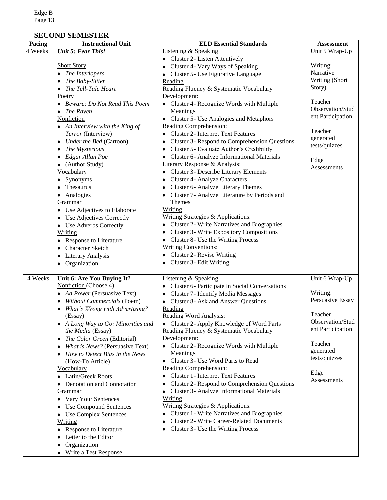## **SECOND SEMESTER**

| Pacing  | <b>Instructional Unit</b>                    | <b>ELD Essential Standards</b>                             | <b>Assessment</b> |
|---------|----------------------------------------------|------------------------------------------------------------|-------------------|
| 4 Weeks | Unit 5: Fear This!                           | <b>Listening &amp; Speaking</b>                            | Unit 5 Wrap-Up    |
|         |                                              | • Cluster 2- Listen Attentively                            |                   |
|         | <b>Short Story</b>                           | Cluster 4- Vary Ways of Speaking<br>٠                      | Writing:          |
|         | • The Interlopers                            | • Cluster 5- Use Figurative Language                       | Narrative         |
|         | The Baby-Sitter                              | Reading                                                    | Writing (Short    |
|         | The Tell-Tale Heart                          | Reading Fluency & Systematic Vocabulary                    | Story)            |
|         | Poetry                                       | Development:                                               |                   |
|         | • Beware: Do Not Read This Poem              | • Cluster 4- Recognize Words with Multiple                 | Teacher           |
|         | $\bullet$ The Raven                          | Meanings                                                   | Observation/Stud  |
|         | Nonfiction                                   | Cluster 5- Use Analogies and Metaphors                     | ent Participation |
|         | $\bullet$ An Interview with the King of      | Reading Comprehension:                                     |                   |
|         | Terror (Interview)                           | <b>Cluster 2- Interpret Text Features</b>                  | Teacher           |
|         | • Under the Bed (Cartoon)                    | Cluster 3- Respond to Comprehension Questions<br>٠         | generated         |
|         | The Mysterious                               | Cluster 5- Evaluate Author's Credibility<br>$\bullet$      | tests/quizzes     |
|         | Edgar Allan Poe                              | Cluster 6- Analyze Informational Materials<br>$\bullet$    |                   |
|         | $\bullet$ (Author Study)                     | Literary Response & Analysis:                              | Edge              |
|         | Vocabulary                                   | <b>Cluster 3- Describe Literary Elements</b><br>٠          | Assessments       |
|         | • Synonyms                                   | Cluster 4- Analyze Characters<br>٠                         |                   |
|         | Thesaurus                                    | Cluster 6- Analyze Literary Themes<br>$\bullet$            |                   |
|         | • Analogies                                  | Cluster 7- Analyze Literature by Periods and               |                   |
|         | Grammar                                      | <b>Themes</b>                                              |                   |
|         | • Use Adjectives to Elaborate                | <b>Writing</b>                                             |                   |
|         | • Use Adjectives Correctly                   | Writing Strategies & Applications:                         |                   |
|         | • Use Adverbs Correctly                      | Cluster 2- Write Narratives and Biographies                |                   |
|         |                                              | <b>Cluster 3- Write Expository Compositions</b>            |                   |
|         | <b>Writing</b>                               | Cluster 8- Use the Writing Process<br>٠                    |                   |
|         | • Response to Literature<br>Character Sketch | <b>Writing Conventions:</b>                                |                   |
|         | ٠                                            | Cluster 2- Revise Writing<br>$\bullet$                     |                   |
|         | <b>Literary Analysis</b><br>٠                | Cluster 3- Edit Writing<br>٠                               |                   |
|         | • Organization                               |                                                            |                   |
| 4 Weeks | Unit 6: Are You Buying It?                   | <b>Listening &amp; Speaking</b>                            | Unit 6 Wrap-Up    |
|         | Nonfiction (Choose 4)                        | Cluster 6- Participate in Social Conversations<br>٠        |                   |
|         | • Ad Power (Persuasive Text)                 | <b>Cluster 7- Identify Media Messages</b><br>٠             | Writing:          |
|         | <b>Without Commercials (Poem)</b>            | • Cluster 8- Ask and Answer Questions                      | Persuasive Essay  |
|         | What's Wrong with Advertising?               | Reading                                                    |                   |
|         | (Essay)                                      | Reading Word Analysis:                                     | Teacher           |
|         | A Long Way to Go: Minorities and             | Cluster 2- Apply Knowledge of Word Parts<br>$\bullet$      | Observation/Stud  |
|         | the Media (Essay)                            | Reading Fluency & Systematic Vocabulary                    | ent Participation |
|         | The Color Green (Editorial)<br>$\bullet$     | Development:                                               |                   |
|         | What is News? (Persuasive Text)<br>٠         | • Cluster 2- Recognize Words with Multiple                 | Teacher           |
|         | • How to Detect Bias in the News             | Meanings                                                   | generated         |
|         | (How-To Article)                             | Cluster 3- Use Word Parts to Read<br>٠                     | tests/quizzes     |
|         | Vocabulary                                   | Reading Comprehension:                                     |                   |
|         | • Latin/Greek Roots                          | <b>Cluster 1- Interpret Text Features</b>                  | Edge              |
|         | • Denotation and Connotation                 | Cluster 2- Respond to Comprehension Questions<br>$\bullet$ | Assessments       |
|         | <b>Grammar</b>                               | Cluster 3- Analyze Informational Materials                 |                   |
|         | • Vary Your Sentences                        | Writing                                                    |                   |
|         | <b>Use Compound Sentences</b>                | Writing Strategies & Applications:                         |                   |
|         | • Use Complex Sentences                      | Cluster 1- Write Narratives and Biographies                |                   |
|         | Writing                                      | <b>Cluster 2- Write Career-Related Documents</b>           |                   |
|         | • Response to Literature                     | Cluster 3- Use the Writing Process<br>٠                    |                   |
|         | Letter to the Editor                         |                                                            |                   |
|         | Organization<br>٠                            |                                                            |                   |
|         | Write a Test Response                        |                                                            |                   |